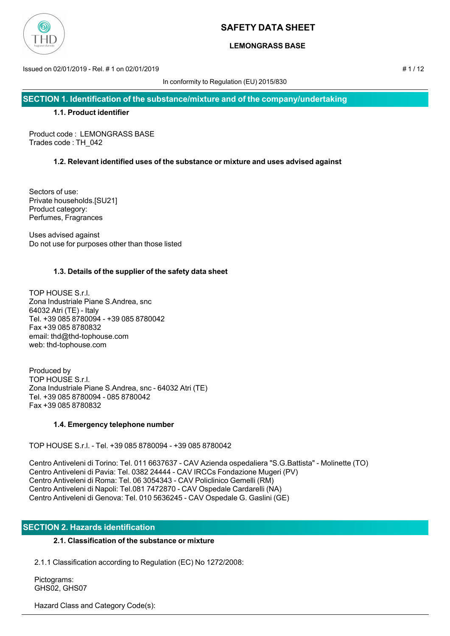

### **LEMONGRASS BASE**

Issued on 02/01/2019 - Rel. # 1 on 02/01/2019 # 1 / 12

In conformity to Regulation (EU) 2015/830

**SECTION 1. Identification of the substance/mixture and of the company/undertaking**

### **1.1. Product identifier**

Product code : LEMONGRASS BASE Trades code : TH\_042

### **1.2. Relevant identified uses of the substance or mixture and uses advised against**

Sectors of use: Private households.[SU21] Product category: Perfumes, Fragrances

Uses advised against Do not use for purposes other than those listed

### **1.3. Details of the supplier of the safety data sheet**

TOP HOUSE S.r.l. Zona Industriale Piane S.Andrea, snc 64032 Atri (TE) - Italy Tel. +39 085 8780094 - +39 085 8780042 Fax +39 085 8780832 email: thd@thd-tophouse.com web: thd-tophouse.com

Produced by TOP HOUSE S.r.l. Zona Industriale Piane S.Andrea, snc - 64032 Atri (TE) Tel. +39 085 8780094 - 085 8780042 Fax +39 085 8780832

### **1.4. Emergency telephone number**

TOP HOUSE S.r.l. - Tel. +39 085 8780094 - +39 085 8780042

Centro Antiveleni di Torino: Tel. 011 6637637 - CAV Azienda ospedaliera "S.G.Battista" - Molinette (TO) Centro Antiveleni di Pavia: Tel. 0382 24444 - CAV IRCCs Fondazione Mugeri (PV) Centro Antiveleni di Roma: Tel. 06 3054343 - CAV Policlinico Gemelli (RM) Centro Antiveleni di Napoli: Tel.081 7472870 - CAV Ospedale Cardarelli (NA) Centro Antiveleni di Genova: Tel. 010 5636245 - CAV Ospedale G. Gaslini (GE)

### **SECTION 2. Hazards identification**

### **2.1. Classification of the substance or mixture**

2.1.1 Classification according to Regulation (EC) No 1272/2008:

 Pictograms: GHS02, GHS07

Hazard Class and Category Code(s):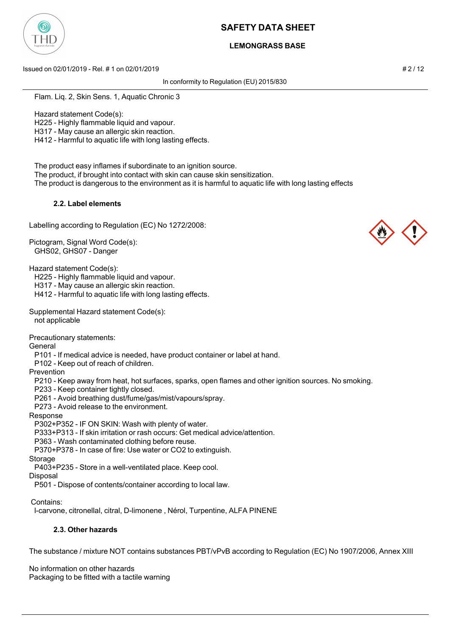

### **LEMONGRASS BASE**

Issued on 02/01/2019 - Rel. # 1 on 02/01/2019 # 2 / 12

In conformity to Regulation (EU) 2015/830

Flam. Liq. 2, Skin Sens. 1, Aquatic Chronic 3

Hazard statement Code(s):

H225 - Highly flammable liquid and vapour.

H317 - May cause an allergic skin reaction.

H412 - Harmful to aquatic life with long lasting effects.

The product easy inflames if subordinate to an ignition source.

The product, if brought into contact with skin can cause skin sensitization.

The product is dangerous to the environment as it is harmful to aquatic life with long lasting effects

### **2.2. Label elements**

Labelling according to Regulation (EC) No 1272/2008:

Pictogram, Signal Word Code(s): GHS02, GHS07 - Danger

Hazard statement Code(s):

H225 - Highly flammable liquid and vapour.

H317 - May cause an allergic skin reaction.

H412 - Harmful to aquatic life with long lasting effects.

Supplemental Hazard statement Code(s): not applicable

Precautionary statements:

General

P101 - If medical advice is needed, have product container or label at hand.

P102 - Keep out of reach of children.

Prevention

P210 - Keep away from heat, hot surfaces, sparks, open flames and other ignition sources. No smoking.

P233 - Keep container tightly closed.

P261 - Avoid breathing dust/fume/gas/mist/vapours/spray.

P273 - Avoid release to the environment.

Response

P302+P352 - IF ON SKIN: Wash with plenty of water.

P333+P313 - If skin irritation or rash occurs: Get medical advice/attention.

P363 - Wash contaminated clothing before reuse.

P370+P378 - In case of fire: Use water or CO2 to extinguish.

Storage

P403+P235 - Store in a well-ventilated place. Keep cool.

Disposal

P501 - Dispose of contents/container according to local law.

Contains:

l-carvone, citronellal, citral, D-limonene , Nérol, Turpentine, ALFA PINENE

### **2.3. Other hazards**

The substance / mixture NOT contains substances PBT/vPvB according to Regulation (EC) No 1907/2006, Annex XIII

No information on other hazards Packaging to be fitted with a tactile warning



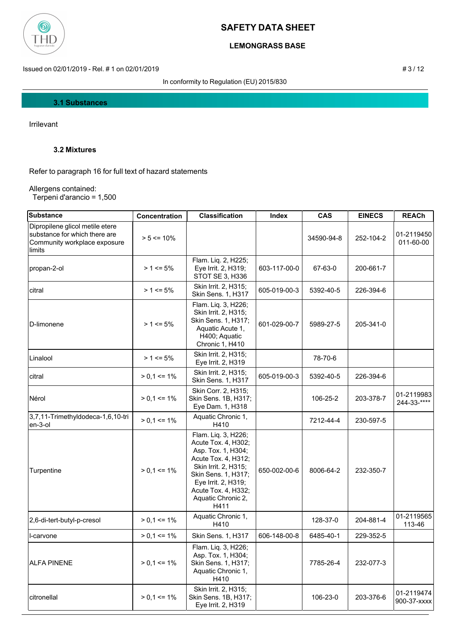

# **LEMONGRASS BASE**

Issued on 02/01/2019 - Rel. # 1 on 02/01/2019 **# 3** / 12

In conformity to Regulation (EU) 2015/830

#### **3.1 Substances**

Irrilevant

### **3.2 Mixtures**

Refer to paragraph 16 for full text of hazard statements

Allergens contained: Terpeni d'arancio = 1,500

| Substance                                                                                                  | Concentration   | <b>Classification</b>                                                                                                                                                                                              | Index        | <b>CAS</b> | <b>EINECS</b> | <b>REACh</b>              |
|------------------------------------------------------------------------------------------------------------|-----------------|--------------------------------------------------------------------------------------------------------------------------------------------------------------------------------------------------------------------|--------------|------------|---------------|---------------------------|
| Dipropilene glicol metile etere<br>substance for which there are<br>Community workplace exposure<br>limits | $> 5 \le 10\%$  |                                                                                                                                                                                                                    |              | 34590-94-8 | 252-104-2     | 01-2119450<br>011-60-00   |
| propan-2-ol                                                                                                | $> 1 \le 5\%$   | Flam. Liq. 2, H225;<br>Eye Irrit. 2, H319;<br>STOT SE 3, H336                                                                                                                                                      | 603-117-00-0 | 67-63-0    | 200-661-7     |                           |
| citral                                                                                                     | $> 1 \le 5\%$   | Skin Irrit. 2, H315;<br><b>Skin Sens. 1, H317</b>                                                                                                                                                                  | 605-019-00-3 | 5392-40-5  | 226-394-6     |                           |
| D-limonene                                                                                                 | $> 1 \le 5\%$   | Flam. Liq. 3, H226;<br>Skin Irrit. 2, H315;<br>Skin Sens. 1, H317;<br>Aquatic Acute 1,<br>H400; Aquatic<br>Chronic 1, H410                                                                                         | 601-029-00-7 | 5989-27-5  | 205-341-0     |                           |
| Linalool                                                                                                   | $> 1 \le 5\%$   | Skin Irrit. 2, H315;<br>Eye Irrit. 2, H319                                                                                                                                                                         |              | 78-70-6    |               |                           |
| citral                                                                                                     | $> 0.1 \le 1\%$ | Skin Irrit. 2, H315;<br>Skin Sens. 1, H317                                                                                                                                                                         | 605-019-00-3 | 5392-40-5  | 226-394-6     |                           |
| Nérol                                                                                                      | $> 0.1 \le 1\%$ | Skin Corr. 2, H315;<br>Skin Sens. 1B, H317;<br>Eye Dam. 1, H318                                                                                                                                                    |              | 106-25-2   | 203-378-7     | 01-2119983<br>244-33-**** |
| 3,7,11-Trimethyldodeca-1,6,10-tri<br>en-3-ol                                                               | $> 0.1 \le 1\%$ | Aquatic Chronic 1,<br>H410                                                                                                                                                                                         |              | 7212-44-4  | 230-597-5     |                           |
| Turpentine                                                                                                 | $> 0.1 \le 1\%$ | Flam. Liq. 3, H226;<br>Acute Tox. 4, H302;<br>Asp. Tox. 1, H304;<br>Acute Tox. 4, H312;<br>Skin Irrit. 2, H315;<br>Skin Sens. 1, H317;<br>Eye Irrit. 2, H319;<br>Acute Tox. 4, H332;<br>Aquatic Chronic 2,<br>H411 | 650-002-00-6 | 8006-64-2  | 232-350-7     |                           |
| 2,6-di-tert-butyl-p-cresol                                                                                 | $> 0,1 \le 1\%$ | Aquatic Chronic 1,<br>H410                                                                                                                                                                                         |              | 128-37-0   | 204-881-4     | 01-2119565<br>113-46      |
| I-carvone                                                                                                  | $> 0.1 \le 1\%$ | Skin Sens. 1, H317                                                                                                                                                                                                 | 606-148-00-8 | 6485-40-1  | 229-352-5     |                           |
| <b>ALFA PINENE</b>                                                                                         | $> 0.1 \le 1\%$ | Flam. Liq. 3, H226;<br>Asp. Tox. 1, H304;<br>Skin Sens. 1, H317;<br>Aquatic Chronic 1,<br>H410                                                                                                                     |              | 7785-26-4  | 232-077-3     |                           |
| citronellal                                                                                                | $> 0,1 \le 1\%$ | Skin Irrit. 2, H315;<br>Skin Sens. 1B, H317;<br>Eye Irrit. 2, H319                                                                                                                                                 |              | 106-23-0   | 203-376-6     | 01-2119474<br>900-37-xxxx |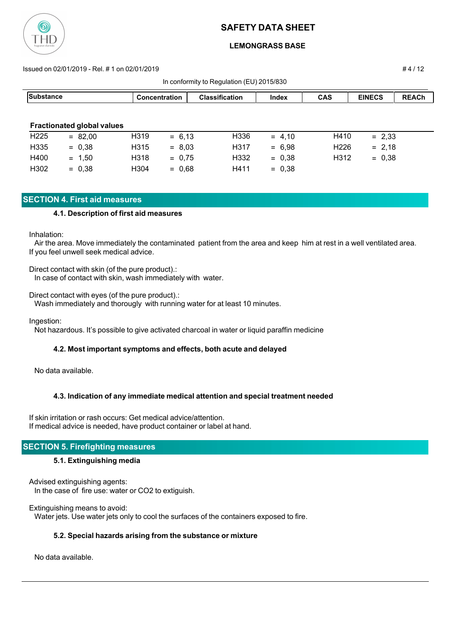

### **LEMONGRASS BASE**

#### Issued on 02/01/2019 - Rel. # 1 on 02/01/2019 # 4 / 12

| $\frac{1}{2}$ $\frac{1}{2}$ , $\frac{1}{2}$ , $\frac{1}{2}$ , $\frac{1}{2}$ , $\frac{1}{2}$ , $\frac{1}{2}$ |                                   |      |                      |                       |              |                  |               |              |
|-------------------------------------------------------------------------------------------------------------|-----------------------------------|------|----------------------|-----------------------|--------------|------------------|---------------|--------------|
| Substance                                                                                                   |                                   |      | <b>Concentration</b> | <b>Classification</b> | <b>Index</b> | <b>CAS</b>       | <b>EINECS</b> | <b>REACh</b> |
|                                                                                                             |                                   |      |                      |                       |              |                  |               |              |
|                                                                                                             | <b>Fractionated global values</b> |      |                      |                       |              |                  |               |              |
| H <sub>225</sub>                                                                                            | $= 82.00$                         | H319 | $= 6,13$             | H336                  | $= 4.10$     | H410             | $= 2,33$      |              |
| H335                                                                                                        | $= 0,38$                          | H315 | $= 8,03$             | H317                  | $= 6.98$     | H <sub>226</sub> | $= 2,18$      |              |
| H400                                                                                                        | $= 1,50$                          | H318 | $= 0.75$             | H332                  | $= 0.38$     | H312             | $= 0,38$      |              |
| H302                                                                                                        | $= 0,38$                          | H304 | $= 0,68$             | H411                  | $= 0.38$     |                  |               |              |

In conformity to Regulation (EU) 2015/830

### **SECTION 4. First aid measures**

#### **4.1. Description of first aid measures**

#### Inhalation:

 Air the area. Move immediately the contaminated patient from the area and keep him at rest in a well ventilated area. If you feel unwell seek medical advice.

Direct contact with skin (of the pure product).: In case of contact with skin, wash immediately with water.

Direct contact with eyes (of the pure product).:

Wash immediately and thorougly with running water for at least 10 minutes.

Ingestion:

Not hazardous. It's possible to give activated charcoal in water or liquid paraffin medicine

### **4.2. Most important symptoms and effects, both acute and delayed**

No data available.

### **4.3. Indication of any immediate medical attention and special treatment needed**

If skin irritation or rash occurs: Get medical advice/attention. If medical advice is needed, have product container or label at hand.

### **SECTION 5. Firefighting measures**

### **5.1. Extinguishing media**

Advised extinguishing agents: In the case of fire use: water or CO2 to extiguish.

Extinguishing means to avoid: Water jets. Use water jets only to cool the surfaces of the containers exposed to fire.

### **5.2. Special hazards arising from the substance or mixture**

No data available.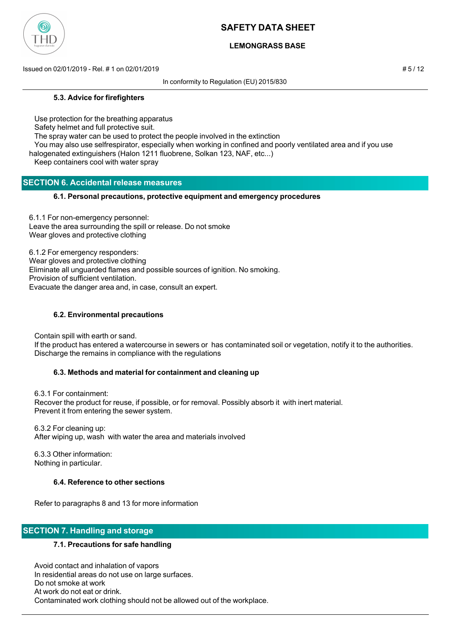

### **LEMONGRASS BASE**

Issued on 02/01/2019 - Rel. # 1 on 02/01/2019 # 5 / 12

In conformity to Regulation (EU) 2015/830

#### **5.3. Advice for firefighters**

Use protection for the breathing apparatus

Safety helmet and full protective suit.

The spray water can be used to protect the people involved in the extinction

 You may also use selfrespirator, especially when working in confined and poorly ventilated area and if you use halogenated extinguishers (Halon 1211 fluobrene, Solkan 123, NAF, etc...)

Keep containers cool with water spray

### **SECTION 6. Accidental release measures**

### **6.1. Personal precautions, protective equipment and emergency procedures**

6.1.1 For non-emergency personnel: Leave the area surrounding the spill or release. Do not smoke Wear gloves and protective clothing

6.1.2 For emergency responders: Wear gloves and protective clothing Eliminate all unguarded flames and possible sources of ignition. No smoking. Provision of sufficient ventilation. Evacuate the danger area and, in case, consult an expert.

### **6.2. Environmental precautions**

Contain spill with earth or sand.

 If the product has entered a watercourse in sewers or has contaminated soil or vegetation, notify it to the authorities. Discharge the remains in compliance with the regulations

### **6.3. Methods and material for containment and cleaning up**

 6.3.1 For containment: Recover the product for reuse, if possible, or for removal. Possibly absorb it with inert material. Prevent it from entering the sewer system.

 6.3.2 For cleaning up: After wiping up, wash with water the area and materials involved

 6.3.3 Other information: Nothing in particular.

### **6.4. Reference to other sections**

Refer to paragraphs 8 and 13 for more information

### **SECTION 7. Handling and storage**

### **7.1. Precautions for safe handling**

 Avoid contact and inhalation of vapors In residential areas do not use on large surfaces. Do not smoke at work At work do not eat or drink. Contaminated work clothing should not be allowed out of the workplace.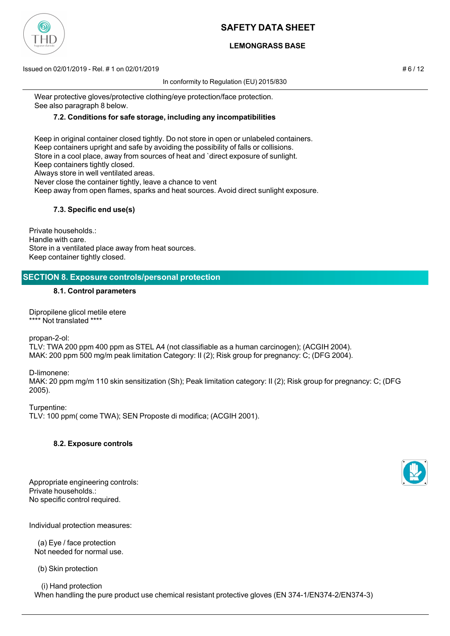### **LEMONGRASS BASE**

Issued on 02/01/2019 - Rel. # 1 on 02/01/2019 # 6 / 12

In conformity to Regulation (EU) 2015/830

 Wear protective gloves/protective clothing/eye protection/face protection. See also paragraph 8 below.

### **7.2. Conditions for safe storage, including any incompatibilities**

 Keep in original container closed tightly. Do not store in open or unlabeled containers. Keep containers upright and safe by avoiding the possibility of falls or collisions. Store in a cool place, away from sources of heat and `direct exposure of sunlight. Keep containers tightly closed. Always store in well ventilated areas. Never close the container tightly, leave a chance to vent Keep away from open flames, sparks and heat sources. Avoid direct sunlight exposure.

### **7.3. Specific end use(s)**

Private households.: Handle with care. Store in a ventilated place away from heat sources. Keep container tightly closed.

### **SECTION 8. Exposure controls/personal protection**

#### **8.1. Control parameters**

Dipropilene glicol metile etere \*\*\*\* Not translated \*\*\*\*

propan-2-ol:

TLV: TWA 200 ppm 400 ppm as STEL A4 (not classifiable as a human carcinogen); (ACGIH 2004). MAK: 200 ppm 500 mg/m peak limitation Category: II (2); Risk group for pregnancy: C; (DFG 2004).

D-limonene:

MAK: 20 ppm mg/m 110 skin sensitization (Sh); Peak limitation category: II (2); Risk group for pregnancy: C; (DFG 2005).

Turpentine: TLV: 100 ppm( come TWA); SEN Proposte di modifica; (ACGIH 2001).

### **8.2. Exposure controls**

Appropriate engineering controls: Private households.: No specific control required.

Individual protection measures:

 (a) Eye / face protection Not needed for normal use.

(b) Skin protection

 (i) Hand protection When handling the pure product use chemical resistant protective gloves (EN 374-1/EN374-2/EN374-3)



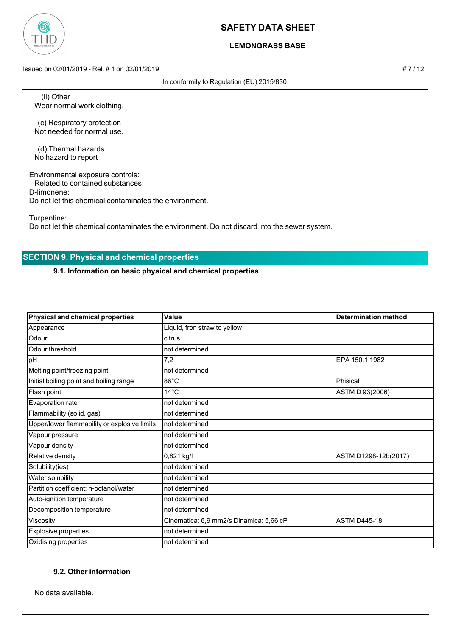

### **LEMONGRASS BASE**

Issued on 02/01/2019 - Rel. # 1 on 02/01/2019 # 7 / 12

In conformity to Regulation (EU) 2015/830

 (ii) Other Wear normal work clothing.

 (c) Respiratory protection Not needed for normal use.

 (d) Thermal hazards No hazard to report

Environmental exposure controls:

Related to contained substances:

D-limonene:

Do not let this chemical contaminates the environment.

Turpentine:

Do not let this chemical contaminates the environment. Do not discard into the sewer system.

# **SECTION 9. Physical and chemical properties**

### **9.1. Information on basic physical and chemical properties**

| Physical and chemical properties             | Value                                   | <b>Determination method</b> |  |
|----------------------------------------------|-----------------------------------------|-----------------------------|--|
| Appearance                                   | Liquid, fron straw to yellow            |                             |  |
| Odour                                        | citrus                                  |                             |  |
| Odour threshold                              | not determined                          |                             |  |
| pH                                           | 7,2                                     | EPA 150.1 1982              |  |
| Melting point/freezing point                 | not determined                          |                             |  |
| Initial boiling point and boiling range      | $86^{\circ}$ C                          | Phisical                    |  |
| Flash point                                  | $14^{\circ}$ C                          | ASTM D 93(2006)             |  |
| Evaporation rate                             | not determined                          |                             |  |
| Flammability (solid, gas)                    | not determined                          |                             |  |
| Upper/lower flammability or explosive limits | not determined                          |                             |  |
| Vapour pressure                              | not determined                          |                             |  |
| Vapour density                               | not determined                          |                             |  |
| Relative density                             | 0,821 kg/l                              | ASTM D1298-12b(2017)        |  |
| Solubility(ies)                              | not determined                          |                             |  |
| Water solubility                             | not determined                          |                             |  |
| Partition coefficient: n-octanol/water       | not determined                          |                             |  |
| Auto-ignition temperature                    | not determined                          |                             |  |
| Decomposition temperature                    | not determined                          |                             |  |
| Viscosity                                    | Cinematica: 6,9 mm2/s Dinamica: 5,66 cP | <b>ASTM D445-18</b>         |  |
| Explosive properties                         | not determined                          |                             |  |
| Oxidising properties                         | not determined                          |                             |  |

### **9.2. Other information**

No data available.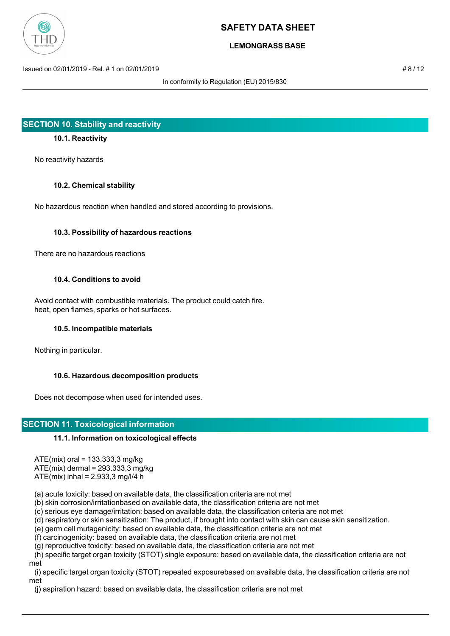

### **LEMONGRASS BASE**

Issued on 02/01/2019 - Rel. # 1 on 02/01/2019 # 8 / 12

In conformity to Regulation (EU) 2015/830

### **SECTION 10. Stability and reactivity**

### **10.1. Reactivity**

No reactivity hazards

#### **10.2. Chemical stability**

No hazardous reaction when handled and stored according to provisions.

#### **10.3. Possibility of hazardous reactions**

There are no hazardous reactions

#### **10.4. Conditions to avoid**

 Avoid contact with combustible materials. The product could catch fire. heat, open flames, sparks or hot surfaces.

#### **10.5. Incompatible materials**

Nothing in particular.

### **10.6. Hazardous decomposition products**

Does not decompose when used for intended uses.

### **SECTION 11. Toxicological information**

### **11.1. Information on toxicological effects**

ATE(mix) oral = 133.333,3 mg/kg

ATE(mix) dermal = 293.333,3 mg/kg

 $ATE(min)$  inhal = 2.933,3 mg/l/4 h

(a) acute toxicity: based on available data, the classification criteria are not met

(b) skin corrosion/irritationbased on available data, the classification criteria are not met

(c) serious eye damage/irritation: based on available data, the classification criteria are not met

(d) respiratory or skin sensitization: The product, if brought into contact with skin can cause skin sensitization.

(e) germ cell mutagenicity: based on available data, the classification criteria are not met

(f) carcinogenicity: based on available data, the classification criteria are not met

(g) reproductive toxicity: based on available data, the classification criteria are not met

 (h) specific target organ toxicity (STOT) single exposure: based on available data, the classification criteria are not met

 (i) specific target organ toxicity (STOT) repeated exposurebased on available data, the classification criteria are not met

(j) aspiration hazard: based on available data, the classification criteria are not met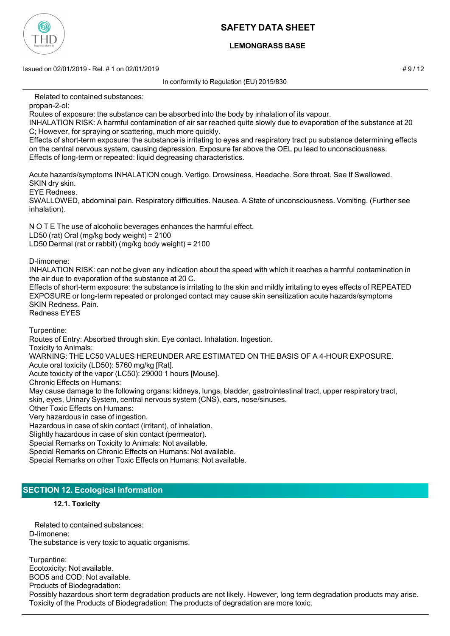

### **LEMONGRASS BASE**

Issued on 02/01/2019 - Rel. # 1 on 02/01/2019 **Assumed by a structure of the structure of the structure of the structure of the structure of the structure of the structure of the structure of the structure of the structure** 

In conformity to Regulation (EU) 2015/830

Related to contained substances:

propan-2-ol:

Routes of exposure: the substance can be absorbed into the body by inhalation of its vapour.

INHALATION RISK: A harmful contamination of air sar reached quite slowly due to evaporation of the substance at 20 C; However, for spraying or scattering, much more quickly.

Effects of short-term exposure: the substance is irritating to eyes and respiratory tract pu substance determining effects on the central nervous system, causing depression. Exposure far above the OEL pu lead to unconsciousness. Effects of long-term or repeated: liquid degreasing characteristics.

Acute hazards/symptoms INHALATION cough. Vertigo. Drowsiness. Headache. Sore throat. See If Swallowed. SKIN dry skin.

EYE Redness.

SWALLOWED, abdominal pain. Respiratory difficulties. Nausea. A State of unconsciousness. Vomiting. (Further see inhalation).

N O T E The use of alcoholic beverages enhances the harmful effect. LD50 (rat) Oral (mg/kg body weight) = 2100 LD50 Dermal (rat or rabbit) (mg/kg body weight) = 2100

D-limonene:

INHALATION RISK: can not be given any indication about the speed with which it reaches a harmful contamination in the air due to evaporation of the substance at 20 C.

Effects of short-term exposure: the substance is irritating to the skin and mildly irritating to eyes effects of REPEATED EXPOSURE or long-term repeated or prolonged contact may cause skin sensitization acute hazards/symptoms SKIN Redness. Pain.

Redness EYES

Turpentine:

Routes of Entry: Absorbed through skin. Eye contact. Inhalation. Ingestion.

Toxicity to Animals:

WARNING: THE LC50 VALUES HEREUNDER ARE ESTIMATED ON THE BASIS OF A 4-HOUR EXPOSURE.

Acute oral toxicity (LD50): 5760 mg/kg [Rat].

Acute toxicity of the vapor (LC50): 29000 1 hours [Mouse].

Chronic Effects on Humans:

May cause damage to the following organs: kidneys, lungs, bladder, gastrointestinal tract, upper respiratory tract, skin, eyes, Urinary System, central nervous system (CNS), ears, nose/sinuses.

Other Toxic Effects on Humans:

Very hazardous in case of ingestion.

Hazardous in case of skin contact (irritant), of inhalation.

Slightly hazardous in case of skin contact (permeator).

Special Remarks on Toxicity to Animals: Not available.

Special Remarks on Chronic Effects on Humans: Not available.

Special Remarks on other Toxic Effects on Humans: Not available.

### **SECTION 12. Ecological information**

### **12.1. Toxicity**

 Related to contained substances: D-limonene: The substance is very toxic to aquatic organisms.

Turpentine: Ecotoxicity: Not available. BOD5 and COD: Not available. Products of Biodegradation: Possibly hazardous short term degradation products are not likely. However, long term degradation products may arise. Toxicity of the Products of Biodegradation: The products of degradation are more toxic.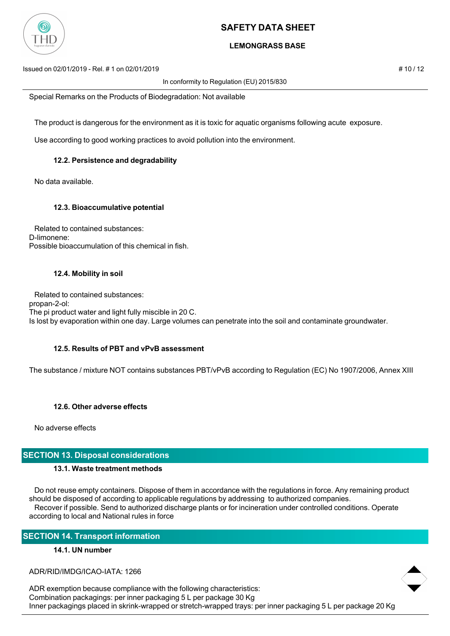

### **LEMONGRASS BASE**

Issued on 02/01/2019 - Rel. # 1 on 02/01/2019 **# 10 / 12** substitution to the state of the state of the state of the state of the state of the state of the state of the state of the state of the state of the state of the s

In conformity to Regulation (EU) 2015/830

Special Remarks on the Products of Biodegradation: Not available

The product is dangerous for the environment as it is toxic for aquatic organisms following acute exposure.

Use according to good working practices to avoid pollution into the environment.

### **12.2. Persistence and degradability**

No data available.

#### **12.3. Bioaccumulative potential**

 Related to contained substances: D-limonene: Possible bioaccumulation of this chemical in fish.

#### **12.4. Mobility in soil**

 Related to contained substances: propan-2-ol: The pi product water and light fully miscible in 20 C. Is lost by evaporation within one day. Large volumes can penetrate into the soil and contaminate groundwater.

#### **12.5. Results of PBT and vPvB assessment**

The substance / mixture NOT contains substances PBT/vPvB according to Regulation (EC) No 1907/2006, Annex XIII

### **12.6. Other adverse effects**

No adverse effects

### **SECTION 13. Disposal considerations**

#### **13.1. Waste treatment methods**

 Do not reuse empty containers. Dispose of them in accordance with the regulations in force. Any remaining product should be disposed of according to applicable regulations by addressing to authorized companies. Recover if possible. Send to authorized discharge plants or for incineration under controlled conditions. Operate according to local and National rules in force

### **SECTION 14. Transport information**

### **14.1. UN number**

ADR/RID/IMDG/ICAO-IATA: 1266

ADR exemption because compliance with the following characteristics: Combination packagings: per inner packaging 5 L per package 30 Kg Inner packagings placed in skrink-wrapped or stretch-wrapped trays: per inner packaging 5 L per package 20 Kg

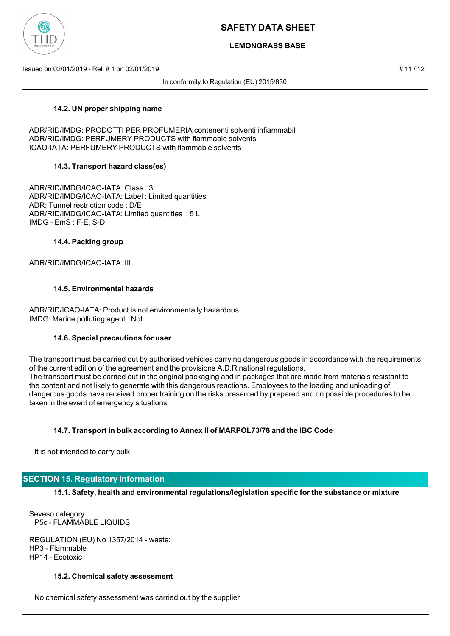

### **LEMONGRASS BASE**

Issued on 02/01/2019 - Rel. # 1 on 02/01/2019 # 11 / 12

In conformity to Regulation (EU) 2015/830

### **14.2. UN proper shipping name**

ADR/RID/IMDG: PRODOTTI PER PROFUMERIA contenenti solventi infiammabili ADR/RID/IMDG: PERFUMERY PRODUCTS with flammable solvents ICAO-IATA: PERFUMERY PRODUCTS with flammable solvents

### **14.3. Transport hazard class(es)**

ADR/RID/IMDG/ICAO-IATA: Class : 3 ADR/RID/IMDG/ICAO-IATA: Label : Limited quantities ADR: Tunnel restriction code : D/E ADR/RID/IMDG/ICAO-IATA: Limited quantities : 5 L IMDG - EmS : F-E, S-D

### **14.4. Packing group**

### ADR/RID/IMDG/ICAO-IATA: III

### **14.5. Environmental hazards**

ADR/RID/ICAO-IATA: Product is not environmentally hazardous IMDG: Marine polluting agent : Not

#### **14.6. Special precautions for user**

The transport must be carried out by authorised vehicles carrying dangerous goods in accordance with the requirements of the current edition of the agreement and the provisions A.D.R national regulations. The transport must be carried out in the original packaging and in packages that are made from materials resistant to the content and not likely to generate with this dangerous reactions. Employees to the loading and unloading of dangerous goods have received proper training on the risks presented by prepared and on possible procedures to be taken in the event of emergency situations

### **14.7. Transport in bulk according to Annex II of MARPOL73/78 and the IBC Code**

It is not intended to carry bulk

### **SECTION 15. Regulatory information**

**15.1. Safety, health and environmental regulations/legislation specific for the substance or mixture**

Seveso category: P5c - FLAMMABLE LIQUIDS

REGULATION (EU) No 1357/2014 - waste: HP3 - Flammable HP14 - Ecotoxic

#### **15.2. Chemical safety assessment**

No chemical safety assessment was carried out by the supplier